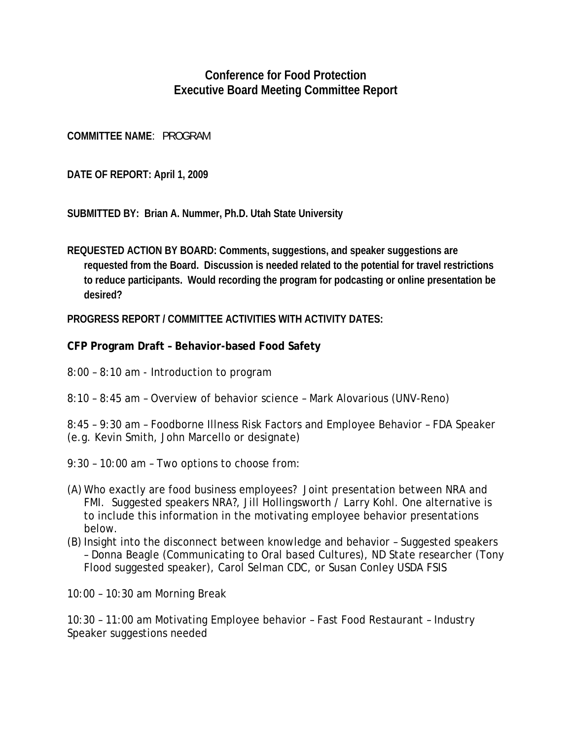## **Conference for Food Protection Executive Board Meeting Committee Report**

**COMMITTEE NAME**: PROGRAM

**DATE OF REPORT: April 1, 2009** 

**SUBMITTED BY: Brian A. Nummer, Ph.D. Utah State University** 

**REQUESTED ACTION BY BOARD: Comments, suggestions, and speaker suggestions are requested from the Board. Discussion is needed related to the potential for travel restrictions to reduce participants. Would recording the program for podcasting or online presentation be desired?** 

**PROGRESS REPORT / COMMITTEE ACTIVITIES WITH ACTIVITY DATES:**

**CFP Program Draft – Behavior-based Food Safety** 

- 8:00 8:10 am Introduction to program
- 8:10 8:45 am Overview of behavior science Mark Alovarious (UNV-Reno)
- 8:45 9:30 am Foodborne Illness Risk Factors and Employee Behavior FDA Speaker
- (e.g. Kevin Smith, John Marcello or designate)
- 9:30 10:00 am Two options to choose from:
- (A) Who exactly are food business employees? Joint presentation between NRA and FMI. Suggested speakers NRA?, Jill Hollingsworth / Larry Kohl. One alternative is to include this information in the motivating employee behavior presentations below.
- (B) Insight into the disconnect between knowledge and behavior Suggested speakers – Donna Beagle (Communicating to Oral based Cultures), ND State researcher (Tony Flood suggested speaker), Carol Selman CDC, or Susan Conley USDA FSIS

10:00 – 10:30 am Morning Break

10:30 – 11:00 am Motivating Employee behavior – Fast Food Restaurant – Industry Speaker suggestions needed